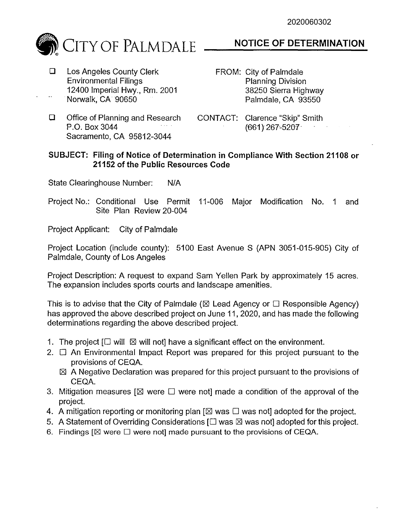

## **D** Los Angeles County Clerk Environmental Filings 12400 Imperial Hwy., Rm. 2001  $\ddotsc$ Norwalk, CA 90650

## **NOTICE OF DETERMINATION**

- FROM: City of Palmdale Planning Division 38250 Sierra Highway Palmdale, CA 93550
- **Q** Office of Planning and Research P.O. Box 3044 Sacramento, CA 95812-3044
- CONTACT: Clarence "Skip" Smith (661) 267-5207-

## **SUBJECT: Filing of Notice of Determination in Compliance With Section 21108 or 21152 of the Public Resources Code**

State Clearinghouse Number: N/A

Project No.: Conditional Use Permit 11-006 Major Modification No. 1 and Site Plan Review 20-004

Project Applicant: City of Palmdale

Project Location (include county): 5100 East Avenue S (APN 3051-015-905) City of Palmdale, County of Los Angeles

Project Description: A request to expand Sam Yellen Park by approximately 15 acres. The expansion includes sports courts and landscape amenities.

This is to advise that the City of Palmdale ( $\boxtimes$  Lead Agency or  $\Box$  Responsible Agency) has approved the above described project on June 11, 2020, and has made the following determinations regarding the above described project.

- 1. The project  $\Box$  will  $\boxtimes$  will not] have a significant effect on the environment.
- 2.  $\Box$  An Environmental Impact Report was prepared for this project pursuant to the provisions of CEQA.
	- $\boxtimes$  A Negative Declaration was prepared for this project pursuant to the provisions of CEQA.
- 3. Mitigation measures  $[\boxtimes]$  were  $\square$  were not] made a condition of the approval of the project.
- 4. A mitigation reporting or monitoring plan  $[\boxtimes$  was  $\square$  was not] adopted for the project.
- 5. A Statement of Overriding Considerations  $\Box$  was  $\boxtimes$  was not] adopted for this project.
- 6. Findings  $[ $\boxtimes$  were  $\square$  were not made pursuit to the provisions of CEQA.$